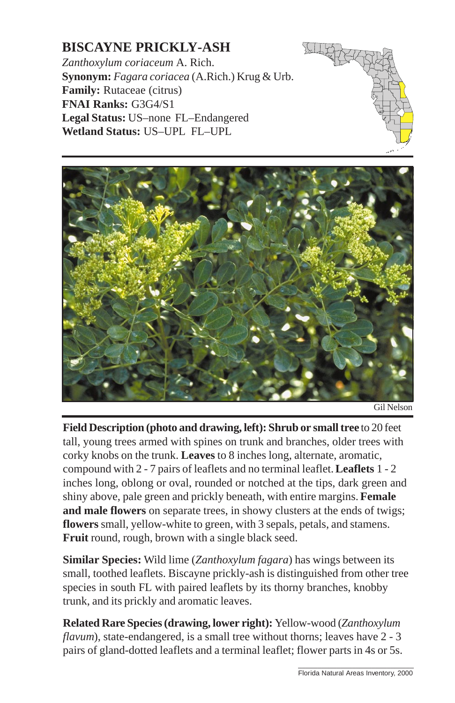## **BISCAYNE PRICKLY-ASH**

*Zanthoxylum coriaceum* A. Rich. **Synonym:** *Fagara coriacea* (A.Rich.) Krug & Urb. **Family:** Rutaceae (citrus) **FNAI Ranks:** G3G4/S1 **Legal Status:** US–none FL–Endangered **Wetland Status:** US–UPL FL–UPL





**Field Description (photo and drawing, left): Shrub or small tree** to 20 feet tall, young trees armed with spines on trunk and branches, older trees with corky knobs on the trunk. **Leaves** to 8 inches long, alternate, aromatic, compound with 2 - 7 pairs of leaflets and no termina[l leaflet.](http://www.fnai.org) **Leaflets** 1 - 2 inches long, oblong or oval, rounded or notched at the tips, dark green and shiny above, pale green and prickly beneath, with entire margins. **Female and male flowers** on separate trees, in showy clusters at the ends of twigs; **flowers** small, yellow-white to green, with 3 sepals, petals, and stamens. **Fruit** round, rough, brown with a single black seed.

**Similar Species:** Wild lime (*Zanthoxylum fagara*) has wings between its small, toothed leaflets. Biscayne prickly-ash is distinguished from other tree species in south FL with paired leaflets by its thorny branches, knobby trunk, and its prickly and aromatic leaves.

**Related Rare Species (drawing, lower right):** Yellow-wood (*Zanthoxylum flavum*), state-endangered, is a small tree without thorns; leaves have 2 - 3 pairs of gland-dotted leaflets and a terminal leaflet; flower parts in 4s or 5s.